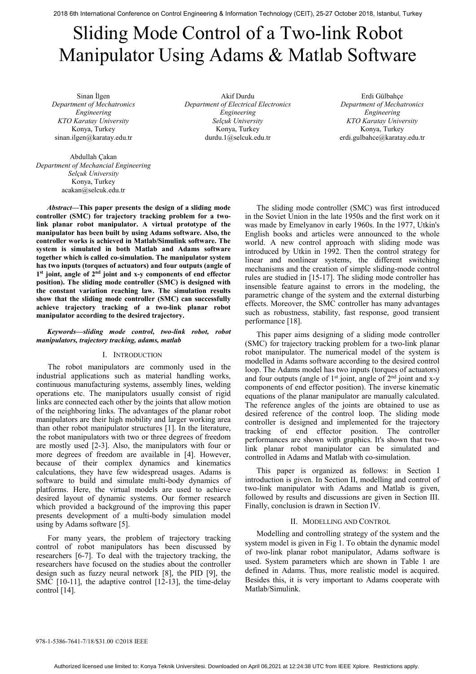2018 6th International Conference on Control Engineering & Information Technology (CEIT), 25-27 October 2018, Istanbul, Turkey

# Sliding Mode Control of a Two-link Robot Manipulator Using Adams & Matlab Software

Sinan İlgen *Department of Mechatronics Engineering KTO Karatay University*  Konya, Turkey sinan.ilgen@karatay.edu.tr

Abdullah Çakan *Department of Mechancial Engineering Selçuk University*  Konya, Turkey acakan@selcuk.edu.tr

*Abstract***—This paper presents the design of a sliding mode controller (SMC) for trajectory tracking problem for a twolink planar robot manipulator. A virtual prototype of the manipulator has been built by using Adams software. Also, the controller works is achieved in Matlab/Simulink software. The system is simulated in both Matlab and Adams software together which is called co-simulation. The manipulator system has two inputs (torques of actuators) and four outputs (angle of 1st joint, angle of 2nd joint and x-y components of end effector position). The sliding mode controller (SMC) is designed with the constant variation reaching law. The simulation results show that the sliding mode controller (SMC) can successfully achieve trajectory tracking of a two-link planar robot manipulator according to the desired trajectory.** 

#### *Keywords—sliding mode control, two-link robot, robot manipulators, trajectory tracking, adams, matlab*

## I. INTRODUCTION

The robot manipulators are commonly used in the industrial applications such as material handling works, continuous manufacturing systems, assembly lines, welding operations etc. The manipulators usually consist of rigid links are connected each other by the joints that allow motion of the neighboring links. The advantages of the planar robot manipulators are their high mobility and larger working area than other robot manipulator structures [1]. In the literature, the robot manipulators with two or three degrees of freedom are mostly used [2-3]. Also, the manipulators with four or more degrees of freedom are available in [4]. However, because of their complex dynamics and kinematics calculations, they have few widespread usages. Adams is software to build and simulate multi-body dynamics of platforms. Here, the virtual models are used to achieve desired layout of dynamic systems. Our former research which provided a background of the improving this paper presents development of a multi-body simulation model using by Adams software [5].

For many years, the problem of trajectory tracking control of robot manipulators has been discussed by researchers [6-7]. To deal with the trajectory tracking, the researchers have focused on the studies about the controller design such as fuzzy neural network [8], the PID [9], the SMC [10-11], the adaptive control [12-13], the time-delay control [14].

Akif Durdu *Department of Electrical Electronics Engineering Selçuk University*  Konya, Turkey durdu.1@selcuk.edu.tr

Erdi Gülbahçe *Department of Mechatronics Engineering KTO Karatay University*  Konya, Turkey erdi.gulbahce@karatay.edu.tr

The sliding mode controller (SMC) was first introduced in the Soviet Union in the late 1950s and the first work on it was made by Emelyanov in early 1960s. In the 1977, Utkin's English books and articles were announced to the whole world. A new control approach with sliding mode was introduced by Utkin in 1992. Then the control strategy for linear and nonlinear systems, the different switching mechanisms and the creation of simple sliding-mode control rules are studied in [15-17]. The sliding mode controller has insensible feature against to errors in the modeling, the parametric change of the system and the external disturbing effects. Moreover, the SMC controller has many advantages such as robustness, stability, fast response, good transient performance [18].

This paper aims designing of a sliding mode controller (SMC) for trajectory tracking problem for a two-link planar robot manipulator. The numerical model of the system is modelled in Adams software according to the desired control loop. The Adams model has two inputs (torques of actuators) and four outputs (angle of  $1<sup>st</sup>$  joint, angle of  $2<sup>nd</sup>$  joint and x-y components of end effector position). The inverse kinematic equations of the planar manipulator are manually calculated. The reference angles of the joints are obtained to use as desired reference of the control loop. The sliding mode controller is designed and implemented for the trajectory tracking of end effector position. The controller performances are shown with graphics. It's shown that twolink planar robot manipulator can be simulated and controlled in Adams and Matlab with co-simulation.

This paper is organized as follows: in Section I introduction is given. In Section II, modelling and control of two-link manipulator with Adams and Matlab is given, followed by results and discussions are given in Section III. Finally, conclusion is drawn in Section IV.

#### II. MODELLING AND CONTROL

Modelling and controlling strategy of the system and the system model is given in Fig 1. To obtain the dynamic model of two-link planar robot manipulator, Adams software is used. System parameters which are shown in Table 1 are defined in Adams. Thus, more realistic model is acquired. Besides this, it is very important to Adams cooperate with Matlab/Simulink.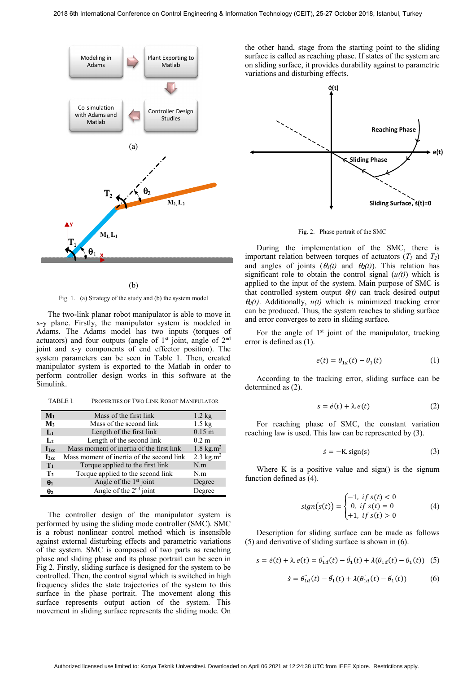

(b)

Fig. 1. (a) Strategy of the study and (b) the system model

The two-link planar robot manipulator is able to move in x-y plane. Firstly, the manipulator system is modeled in Adams. The Adams model has two inputs (torques of actuators) and four outputs (angle of  $1<sup>st</sup>$  joint, angle of  $2<sup>nd</sup>$ joint and x-y components of end effector position). The system parameters can be seen in Table 1. Then, created manipulator system is exported to the Matlab in order to perform controller design works in this software at the Simulink.

TABLE I. PROPERTIES OF TWO LINK ROBOT MANIPULATOR

| $M_1$             | Mass of the first link                    | $1.2 \text{ kg}$                 |
|-------------------|-------------------------------------------|----------------------------------|
| M <sub>2</sub>    | Mass of the second link                   | $1.5$ kg                         |
| $L_1$             | Length of the first link                  | $0.15 \;{\rm m}$                 |
| $\mathbf{L}_2$    | Length of the second link                 | $0.2 \text{ m}$                  |
| $\mathbf{I}_{1z}$ | Mass moment of inertia of the first link  | 1.8 kg.m <sup>2</sup>            |
| $I_{277}$         | Mass moment of inertia of the second link | 2.3 $\text{kg} \cdot \text{m}^2$ |
| T <sub>1</sub>    | Torque applied to the first link          | N.m                              |
| T <sub>2</sub>    | Torque applied to the second link         | N.m                              |
| $\theta_1$        | Angle of the 1 <sup>st</sup> joint        | Degree                           |
| $\theta$ 2        | Angle of the $2nd$ joint                  | Degree                           |

The controller design of the manipulator system is performed by using the sliding mode controller (SMC). SMC is a robust nonlinear control method which is insensible against external disturbing effects and parametric variations of the system. SMC is composed of two parts as reaching phase and sliding phase and its phase portrait can be seen in Fig 2. Firstly, sliding surface is designed for the system to be controlled. Then, the control signal which is switched in high frequency slides the state trajectories of the system to this surface in the phase portrait. The movement along this surface represents output action of the system. This movement in sliding surface represents the sliding mode. On

the other hand, stage from the starting point to the sliding surface is called as reaching phase. If states of the system are on sliding surface, it provides durability against to parametric variations and disturbing effects.



Fig. 2. Phase portrait of the SMC

During the implementation of the SMC, there is important relation between torques of actuators  $(T_1 \text{ and } T_2)$ and angles of joints  $(\theta_I(t)$  and  $\theta_2(t)$ ). This relation has significant role to obtain the control signal  $(u(t))$  which is applied to the input of the system. Main purpose of SMC is that controlled system output  $\theta(t)$  can track desired output  $\theta_d(t)$ . Additionally,  $u(t)$  which is minimized tracking error can be produced. Thus, the system reaches to sliding surface and error converges to zero in sliding surface.

For the angle of  $1<sup>st</sup>$  joint of the manipulator, tracking error is defined as (1).

$$
e(t) = \theta_{1d}(t) - \theta_1(t) \tag{1}
$$

According to the tracking error, sliding surface can be determined as (2).

$$
s = \dot{e}(t) + \lambda \cdot e(t) \tag{2}
$$

For reaching phase of SMC, the constant variation reaching law is used. This law can be represented by (3).

$$
\dot{s} = -K \text{sign}(s) \tag{3}
$$

Where K is a positive value and  $sign()$  is the signum function defined as (4).

$$
sign(s(t)) = \begin{cases} -1, & \text{if } s(t) < 0\\ 0, & \text{if } s(t) = 0\\ +1, & \text{if } s(t) > 0 \end{cases}
$$
(4)

Description for sliding surface can be made as follows (5) and derivative of sliding surface is shown in (6).

$$
s = \dot{e}(t) + \lambda \, e(t) = \dot{\theta}_{1d}(t) - \dot{\theta}_1(t) + \lambda(\theta_{1d}(t) - \theta_1(t)) \tag{5}
$$

$$
\dot{s} = \ddot{\theta_{1d}}(t) - \ddot{\theta_1}(t) + \lambda(\dot{\theta_{1d}}(t) - \dot{\theta_1}(t))
$$
 (6)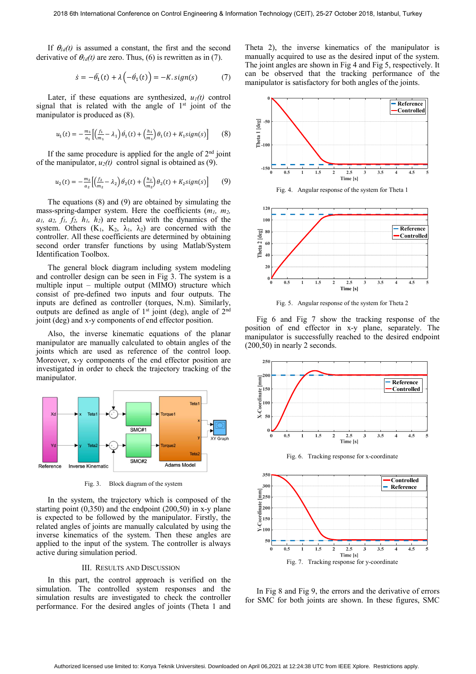If  $\theta_{1d}(t)$  is assumed a constant, the first and the second derivative of  $\theta_{ld}(t)$  are zero. Thus, (6) is rewritten as in (7).

$$
\dot{s} = -\ddot{\theta_1}(t) + \lambda \left( -\dot{\theta_1}(t) \right) = -K \, sign(s) \tag{7}
$$

Later, if these equations are synthesized,  $u_1(t)$  control signal that is related with the angle of  $1<sup>st</sup>$  joint of the manipulator is produced as (8).

$$
u_1(t) = -\frac{m_1}{a_1} \left[ \left( \frac{f_1}{m_1} - \lambda_1 \right) \dot{\theta}_1(t) + \left( \frac{h_1}{m_1} \right) \theta_1(t) + K_1 sign(s) \right] \tag{8}
$$

If the same procedure is applied for the angle of  $2<sup>nd</sup>$  joint of the manipulator,  $u_2(t)$  control signal is obtained as (9).

$$
u_2(t) = -\frac{m_2}{a_2} \left[ \left( \frac{f_2}{m_2} - \lambda_2 \right) \dot{\theta}_2(t) + \left( \frac{h_2}{m_2} \right) \theta_2(t) + K_2 sign(s) \right] \tag{9}
$$

The equations (8) and (9) are obtained by simulating the mass-spring-damper system. Here the coefficients (*m1, m2, a1, a2, f1, f2, h1, h2*) are related with the dynamics of the system. Others  $(K_1, K_2, \lambda_1, \lambda_2)$  are concerned with the controller. All these coefficients are determined by obtaining second order transfer functions by using Matlab/System Identification Toolbox.

The general block diagram including system modeling and controller design can be seen in Fig 3. The system is a multiple input – multiple output (MIMO) structure which consist of pre-defined two inputs and four outputs. The inputs are defined as controller (torques, N.m). Similarly, outputs are defined as angle of  $1<sup>st</sup>$  joint (deg), angle of  $2<sup>nd</sup>$ joint (deg) and x-y components of end effector position.

Also, the inverse kinematic equations of the planar manipulator are manually calculated to obtain angles of the joints which are used as reference of the control loop. Moreover, x-y components of the end effector position are investigated in order to check the trajectory tracking of the manipulator.



Fig. 3. Block diagram of the system

In the system, the trajectory which is composed of the starting point (0,350) and the endpoint (200,50) in x-y plane is expected to be followed by the manipulator. Firstly, the related angles of joints are manually calculated by using the inverse kinematics of the system. Then these angles are applied to the input of the system. The controller is always active during simulation period.

#### III. RESULTS AND DISCUSSION

In this part, the control approach is verified on the simulation. The controlled system responses and the simulation results are investigated to check the controller performance. For the desired angles of joints (Theta 1 and

Theta 2), the inverse kinematics of the manipulator is manually acquired to use as the desired input of the system. The joint angles are shown in Fig 4 and Fig 5, respectively. It can be observed that the tracking performance of the manipulator is satisfactory for both angles of the joints.



Fig. 4. Angular response of the system for Theta 1



Fig. 5. Angular response of the system for Theta 2

Fig 6 and Fig 7 show the tracking response of the position of end effector in x-y plane, separately. The manipulator is successfully reached to the desired endpoint (200,50) in nearly 2 seconds.



Fig. 6. Tracking response for x-coordinate



In Fig 8 and Fig 9, the errors and the derivative of errors for SMC for both joints are shown. In these figures, SMC